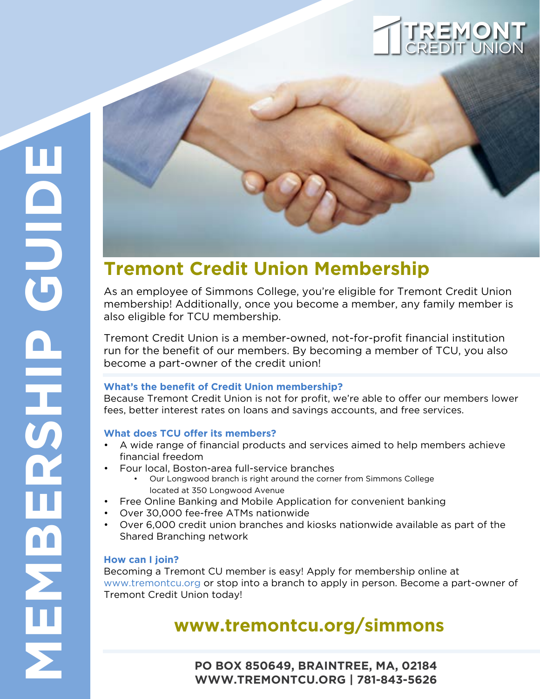### CREDIT UNION **TREMONT**

# **Tremont Credit Union Membership**

As an employee of Simmons College, you're eligible for Tremont Credit Union membership! Additionally, once you become a member, any family member is also eligible for TCU membership.

Tremont Credit Union is a member-owned, not-for-profit financial institution run for the benefit of our members. By becoming a member of TCU, you also become a part-owner of the credit union!

### **What's the benefit of Credit Union membership?**

Because Tremont Credit Union is not for profit, we're able to offer our members lower fees, better interest rates on loans and savings accounts, and free services.

### **What does TCU offer its members?**

- A wide range of financial products and services aimed to help members achieve financial freedom
- Four local, Boston-area full-service branches
	- Our Longwood branch is right around the corner from Simmons College located at 350 Longwood Avenue
- Free Online Banking and Mobile Application for convenient banking
- Over 30,000 fee-free ATMs nationwide
- Over 6,000 credit union branches and kiosks nationwide available as part of the Shared Branching network

### **How can I join?**

Becoming a Tremont CU member is easy! Apply for membership online at www.tremontcu.org or stop into a branch to apply in person. Become a part-owner of Tremont Credit Union today!

### **www.tremontcu.org/simmons**

**PO BOX 850649, BRAINTREE, MA, 02184 WWW.TREMONTCU.ORG | 781-843-5626**